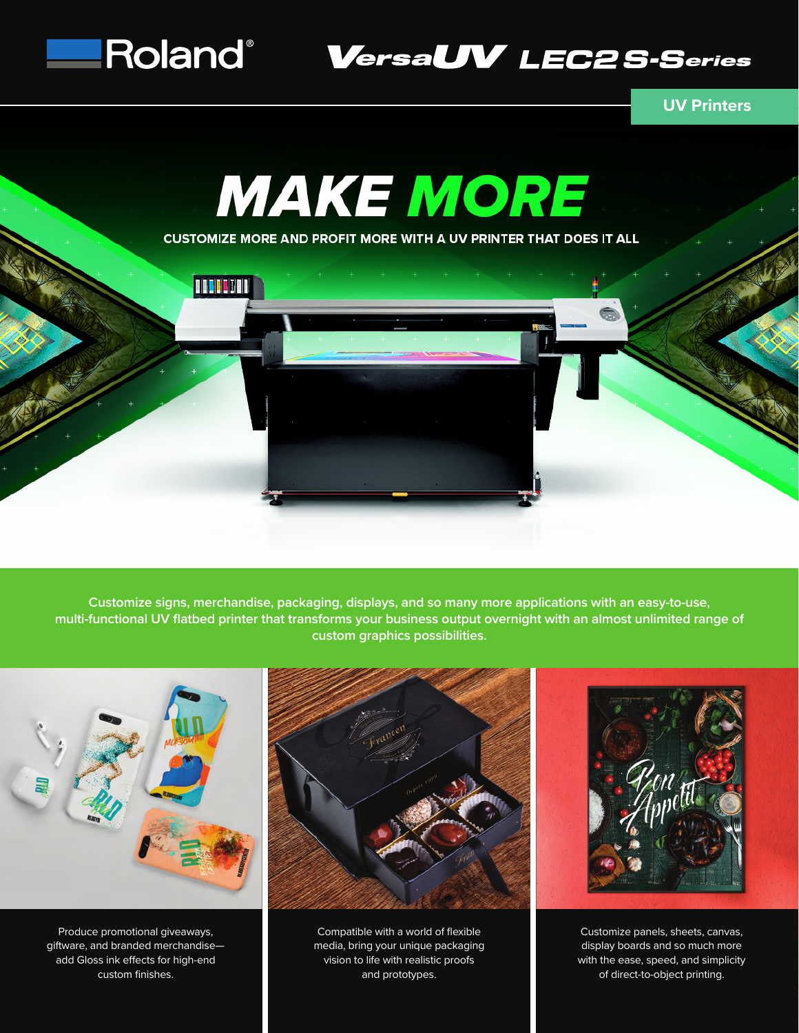

Roland® VersaUV LEC2S-Series

## **UV Printers**



**Customize signs, merchandise, packaging, displays, and so many more applications with an easy-to-use, multi-functional UV flatbed printer that transforms your business output overnight with an almost unlimited range of custom graphics possibilities.**



Produce promotional giveaways, giftware, and branded merchandise add Gloss ink effects for high-end custom finishes.



Compatible with a world of flexible media, bring your unique packaging vision to life with realistic proofs and prototypes.



Customize panels, sheets, canvas, display boards and so much more with the ease, speed, and simplicity of direct-to-object printing.